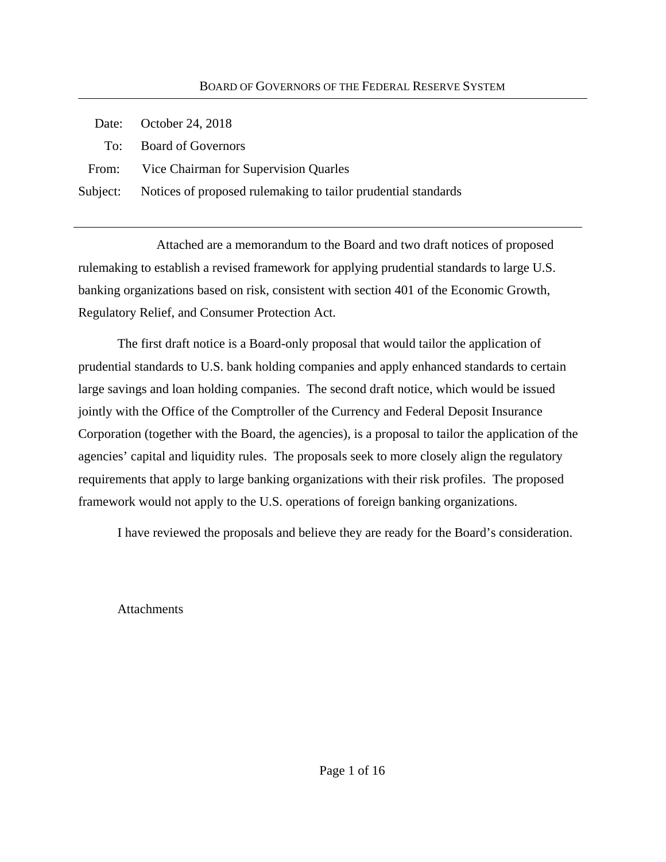| Date: October 24, 2018                                                 |
|------------------------------------------------------------------------|
| To: Board of Governors                                                 |
| From: Vice Chairman for Supervision Quarles                            |
| Subject: Notices of proposed rulemaking to tailor prudential standards |

Attached are a memorandum to the Board and two draft notices of proposed rulemaking to establish a revised framework for applying prudential standards to large U.S. banking organizations based on risk, consistent with section 401 of the Economic Growth, Regulatory Relief, and Consumer Protection Act.

The first draft notice is a Board-only proposal that would tailor the application of prudential standards to U.S. bank holding companies and apply enhanced standards to certain large savings and loan holding companies. The second draft notice, which would be issued jointly with the Office of the Comptroller of the Currency and Federal Deposit Insurance Corporation (together with the Board, the agencies), is a proposal to tailor the application of the agencies' capital and liquidity rules. The proposals seek to more closely align the regulatory requirements that apply to large banking organizations with their risk profiles. The proposed framework would not apply to the U.S. operations of foreign banking organizations.

I have reviewed the proposals and believe they are ready for the Board's consideration.

**Attachments**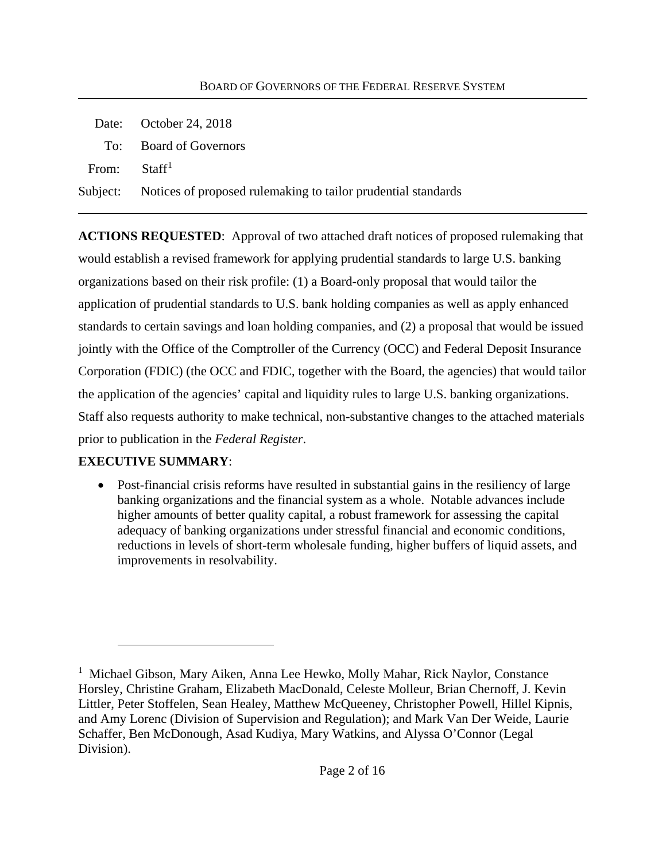|                          | Date: October 24, 2018                                                 |  |  |  |
|--------------------------|------------------------------------------------------------------------|--|--|--|
|                          | To: Board of Governors                                                 |  |  |  |
| From: Staff <sup>1</sup> |                                                                        |  |  |  |
|                          | Subject: Notices of proposed rulemaking to tailor prudential standards |  |  |  |

**ACTIONS REQUESTED**: Approval of two attached draft notices of proposed rulemaking that would establish a revised framework for applying prudential standards to large U.S. banking organizations based on their risk profile: (1) a Board-only proposal that would tailor the application of prudential standards to U.S. bank holding companies as well as apply enhanced standards to certain savings and loan holding companies, and (2) a proposal that would be issued jointly with the Office of the Comptroller of the Currency (OCC) and Federal Deposit Insurance Corporation (FDIC) (the OCC and FDIC, together with the Board, the agencies) that would tailor the application of the agencies' capital and liquidity rules to large U.S. banking organizations. Staff also requests authority to make technical, non-substantive changes to the attached materials prior to publication in the *Federal Register*.

#### **EXECUTIVE SUMMARY**:

 $\overline{a}$ 

• Post-financial crisis reforms have resulted in substantial gains in the resiliency of large banking organizations and the financial system as a whole. Notable advances include higher amounts of better quality capital, a robust framework for assessing the capital adequacy of banking organizations under stressful financial and economic conditions, reductions in levels of short-term wholesale funding, higher buffers of liquid assets, and improvements in resolvability.

<sup>&</sup>lt;sup>1</sup> Michael Gibson, Mary Aiken, Anna Lee Hewko, Molly Mahar, Rick Naylor, Constance Horsley, Christine Graham, Elizabeth MacDonald, Celeste Molleur, Brian Chernoff, J. Kevin Littler, Peter Stoffelen, Sean Healey, Matthew McQueeney, Christopher Powell, Hillel Kipnis, and Amy Lorenc (Division of Supervision and Regulation); and Mark Van Der Weide, Laurie Schaffer, Ben McDonough, Asad Kudiya, Mary Watkins, and Alyssa O'Connor (Legal Division).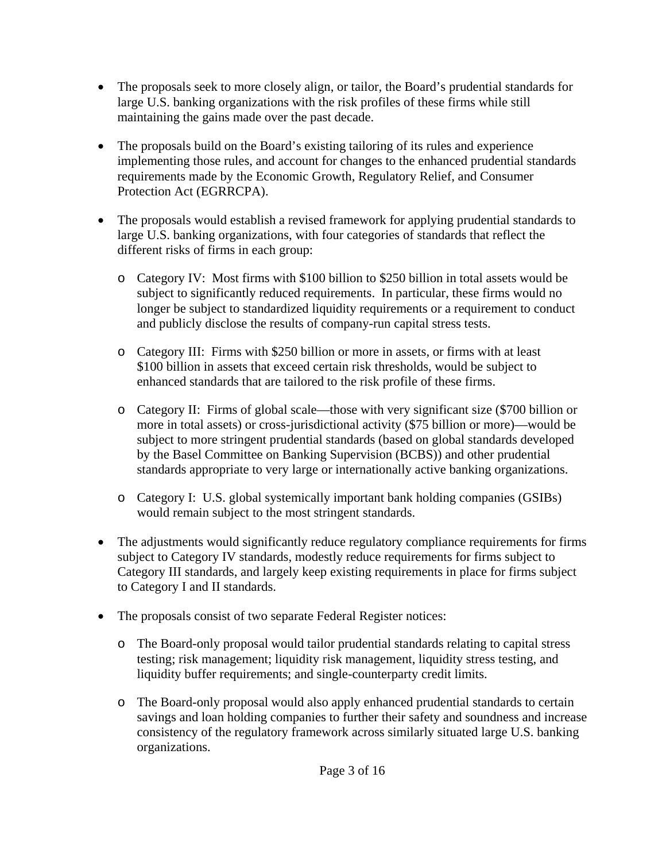- The proposals seek to more closely align, or tailor, the Board's prudential standards for large U.S. banking organizations with the risk profiles of these firms while still maintaining the gains made over the past decade.
- The proposals build on the Board's existing tailoring of its rules and experience implementing those rules, and account for changes to the enhanced prudential standards requirements made by the Economic Growth, Regulatory Relief, and Consumer Protection Act (EGRRCPA).
- The proposals would establish a revised framework for applying prudential standards to large U.S. banking organizations, with four categories of standards that reflect the different risks of firms in each group:
	- o Category IV: Most firms with \$100 billion to \$250 billion in total assets would be subject to significantly reduced requirements. In particular, these firms would no longer be subject to standardized liquidity requirements or a requirement to conduct and publicly disclose the results of company-run capital stress tests.
	- o Category III: Firms with \$250 billion or more in assets, or firms with at least \$100 billion in assets that exceed certain risk thresholds, would be subject to enhanced standards that are tailored to the risk profile of these firms.
	- o Category II: Firms of global scale—those with very significant size (\$700 billion or more in total assets) or cross-jurisdictional activity (\$75 billion or more)—would be subject to more stringent prudential standards (based on global standards developed by the Basel Committee on Banking Supervision (BCBS)) and other prudential standards appropriate to very large or internationally active banking organizations.
	- o Category I: U.S. global systemically important bank holding companies (GSIBs) would remain subject to the most stringent standards.
- The adjustments would significantly reduce regulatory compliance requirements for firms subject to Category IV standards, modestly reduce requirements for firms subject to Category III standards, and largely keep existing requirements in place for firms subject to Category I and II standards.
- The proposals consist of two separate Federal Register notices:
	- o The Board-only proposal would tailor prudential standards relating to capital stress testing; risk management; liquidity risk management, liquidity stress testing, and liquidity buffer requirements; and single-counterparty credit limits.
	- o The Board-only proposal would also apply enhanced prudential standards to certain savings and loan holding companies to further their safety and soundness and increase consistency of the regulatory framework across similarly situated large U.S. banking organizations.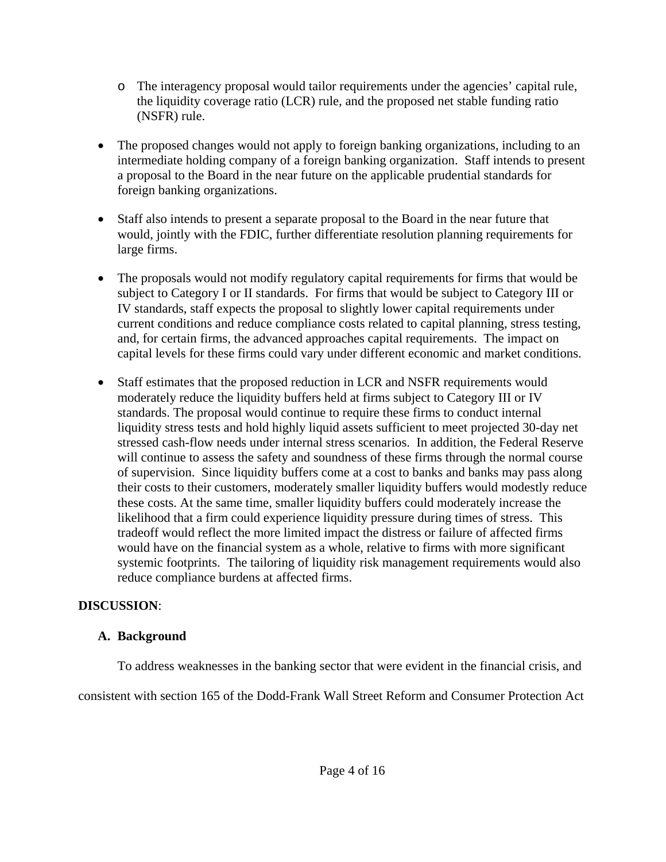- o The interagency proposal would tailor requirements under the agencies' capital rule, the liquidity coverage ratio (LCR) rule, and the proposed net stable funding ratio (NSFR) rule.
- The proposed changes would not apply to foreign banking organizations, including to an intermediate holding company of a foreign banking organization. Staff intends to present a proposal to the Board in the near future on the applicable prudential standards for foreign banking organizations.
- Staff also intends to present a separate proposal to the Board in the near future that would, jointly with the FDIC, further differentiate resolution planning requirements for large firms.
- The proposals would not modify regulatory capital requirements for firms that would be subject to Category I or II standards. For firms that would be subject to Category III or IV standards, staff expects the proposal to slightly lower capital requirements under current conditions and reduce compliance costs related to capital planning, stress testing, and, for certain firms, the advanced approaches capital requirements. The impact on capital levels for these firms could vary under different economic and market conditions.
- Staff estimates that the proposed reduction in LCR and NSFR requirements would moderately reduce the liquidity buffers held at firms subject to Category III or IV standards. The proposal would continue to require these firms to conduct internal liquidity stress tests and hold highly liquid assets sufficient to meet projected 30-day net stressed cash-flow needs under internal stress scenarios. In addition, the Federal Reserve will continue to assess the safety and soundness of these firms through the normal course of supervision. Since liquidity buffers come at a cost to banks and banks may pass along their costs to their customers, moderately smaller liquidity buffers would modestly reduce these costs. At the same time, smaller liquidity buffers could moderately increase the likelihood that a firm could experience liquidity pressure during times of stress. This tradeoff would reflect the more limited impact the distress or failure of affected firms would have on the financial system as a whole, relative to firms with more significant systemic footprints. The tailoring of liquidity risk management requirements would also reduce compliance burdens at affected firms.

## **DISCUSSION**:

## **A. Background**

To address weaknesses in the banking sector that were evident in the financial crisis, and

consistent with section 165 of the Dodd-Frank Wall Street Reform and Consumer Protection Act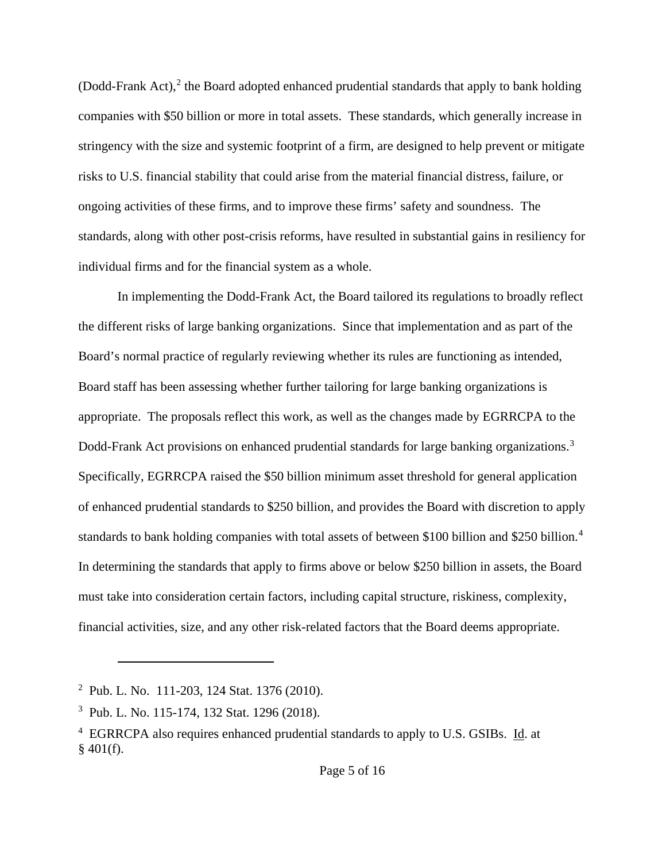(Dodd-Frank Act), $^2$  the Board adopted enhanced prudential standards that apply to bank holding companies with \$50 billion or more in total assets. These standards, which generally increase in stringency with the size and systemic footprint of a firm, are designed to help prevent or mitigate risks to U.S. financial stability that could arise from the material financial distress, failure, or ongoing activities of these firms, and to improve these firms' safety and soundness. The standards, along with other post-crisis reforms, have resulted in substantial gains in resiliency for individual firms and for the financial system as a whole.

In implementing the Dodd-Frank Act, the Board tailored its regulations to broadly reflect the different risks of large banking organizations. Since that implementation and as part of the Board's normal practice of regularly reviewing whether its rules are functioning as intended, Board staff has been assessing whether further tailoring for large banking organizations is appropriate. The proposals reflect this work, as well as the changes made by EGRRCPA to the Dodd-Frank Act provisions on enhanced prudential standards for large banking organizations.<sup>3</sup> Specifically, EGRRCPA raised the \$50 billion minimum asset threshold for general application of enhanced prudential standards to \$250 billion, and provides the Board with discretion to apply standards to bank holding companies with total assets of between \$100 billion and \$250 billion.<sup>4</sup> In determining the standards that apply to firms above or below \$250 billion in assets, the Board must take into consideration certain factors, including capital structure, riskiness, complexity, financial activities, size, and any other risk-related factors that the Board deems appropriate.

<sup>2</sup> Pub. L. No. 111-203, 124 Stat. 1376 (2010).

<sup>3</sup> Pub. L. No. 115-174, 132 Stat. 1296 (2018).

<sup>&</sup>lt;sup>4</sup> EGRRCPA also requires enhanced prudential standards to apply to U.S. GSIBs. Id. at  $§$  401(f).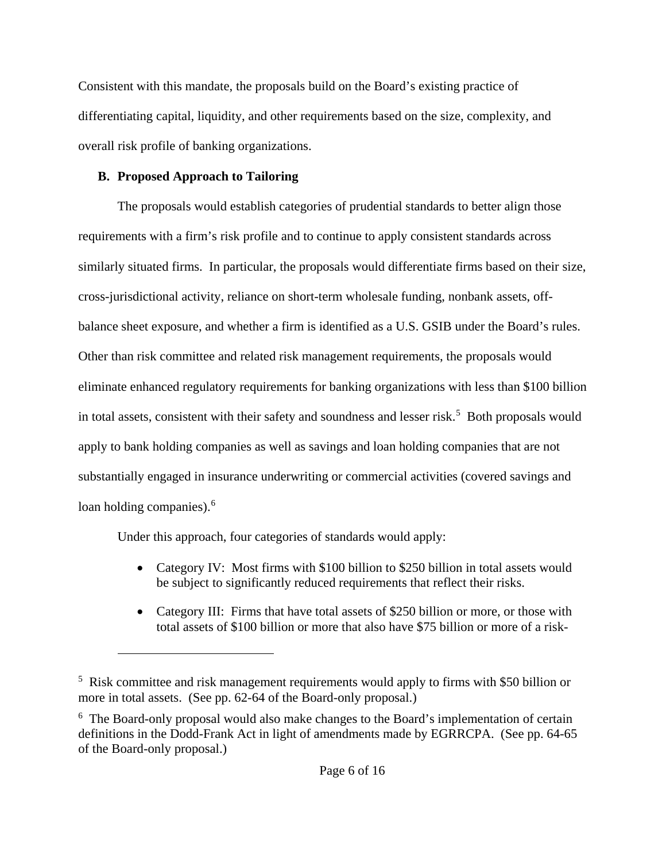Consistent with this mandate, the proposals build on the Board's existing practice of differentiating capital, liquidity, and other requirements based on the size, complexity, and overall risk profile of banking organizations.

### **B. Proposed Approach to Tailoring**

 $\overline{a}$ 

The proposals would establish categories of prudential standards to better align those requirements with a firm's risk profile and to continue to apply consistent standards across similarly situated firms. In particular, the proposals would differentiate firms based on their size, cross-jurisdictional activity, reliance on short-term wholesale funding, nonbank assets, offbalance sheet exposure, and whether a firm is identified as a U.S. GSIB under the Board's rules. Other than risk committee and related risk management requirements, the proposals would eliminate enhanced regulatory requirements for banking organizations with less than \$100 billion in total assets, consistent with their safety and soundness and lesser risk.<sup>5</sup> Both proposals would apply to bank holding companies as well as savings and loan holding companies that are not substantially engaged in insurance underwriting or commercial activities (covered savings and loan holding companies).<sup>6</sup>

Under this approach, four categories of standards would apply:

- Category IV: Most firms with \$100 billion to \$250 billion in total assets would be subject to significantly reduced requirements that reflect their risks.
- Category III: Firms that have total assets of \$250 billion or more, or those with total assets of \$100 billion or more that also have \$75 billion or more of a risk-

<sup>&</sup>lt;sup>5</sup> Risk committee and risk management requirements would apply to firms with \$50 billion or more in total assets. (See pp. 62-64 of the Board-only proposal.)

<sup>&</sup>lt;sup>6</sup> The Board-only proposal would also make changes to the Board's implementation of certain definitions in the Dodd-Frank Act in light of amendments made by EGRRCPA. (See pp. 64-65 of the Board-only proposal.)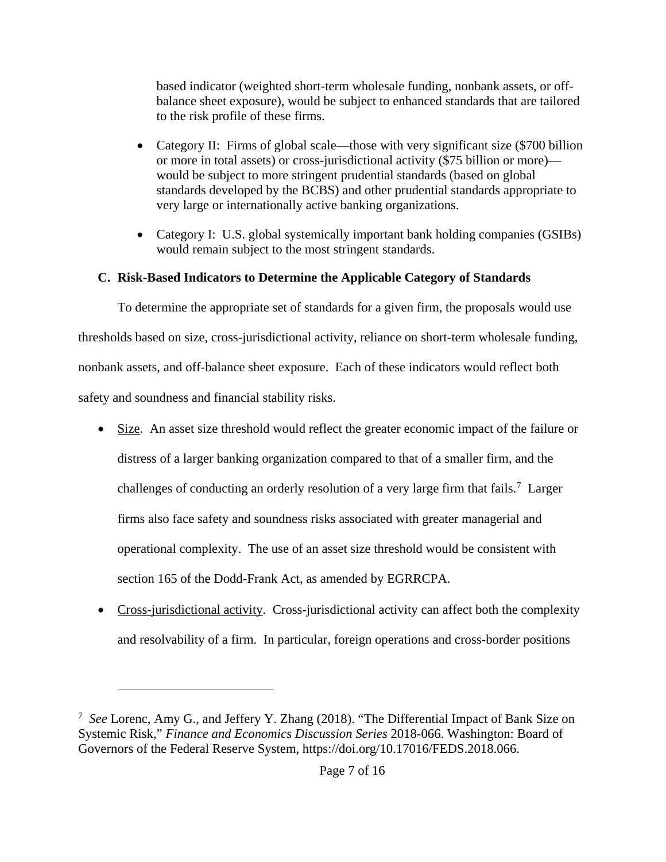based indicator (weighted short-term wholesale funding, nonbank assets, or offbalance sheet exposure), would be subject to enhanced standards that are tailored to the risk profile of these firms.

- Category II: Firms of global scale—those with very significant size (\$700 billion or more in total assets) or cross-jurisdictional activity (\$75 billion or more) would be subject to more stringent prudential standards (based on global standards developed by the BCBS) and other prudential standards appropriate to very large or internationally active banking organizations.
- Category I: U.S. global systemically important bank holding companies (GSIBs) would remain subject to the most stringent standards.

## **C. Risk-Based Indicators to Determine the Applicable Category of Standards**

To determine the appropriate set of standards for a given firm, the proposals would use thresholds based on size, cross-jurisdictional activity, reliance on short-term wholesale funding, nonbank assets, and off-balance sheet exposure. Each of these indicators would reflect both safety and soundness and financial stability risks.

- Size. An asset size threshold would reflect the greater economic impact of the failure or distress of a larger banking organization compared to that of a smaller firm, and the challenges of conducting an orderly resolution of a very large firm that fails.<sup>7</sup> Larger firms also face safety and soundness risks associated with greater managerial and operational complexity. The use of an asset size threshold would be consistent with section 165 of the Dodd-Frank Act, as amended by EGRRCPA.
- Cross-jurisdictional activity. Cross-jurisdictional activity can affect both the complexity and resolvability of a firm. In particular, foreign operations and cross-border positions

<sup>7</sup> *See* Lorenc, Amy G., and Jeffery Y. Zhang (2018). "The Differential Impact of Bank Size on Systemic Risk," *Finance and Economics Discussion Series* 2018-066. Washington: Board of Governors of the Federal Reserve System, https://doi.org/10.17016/FEDS.2018.066.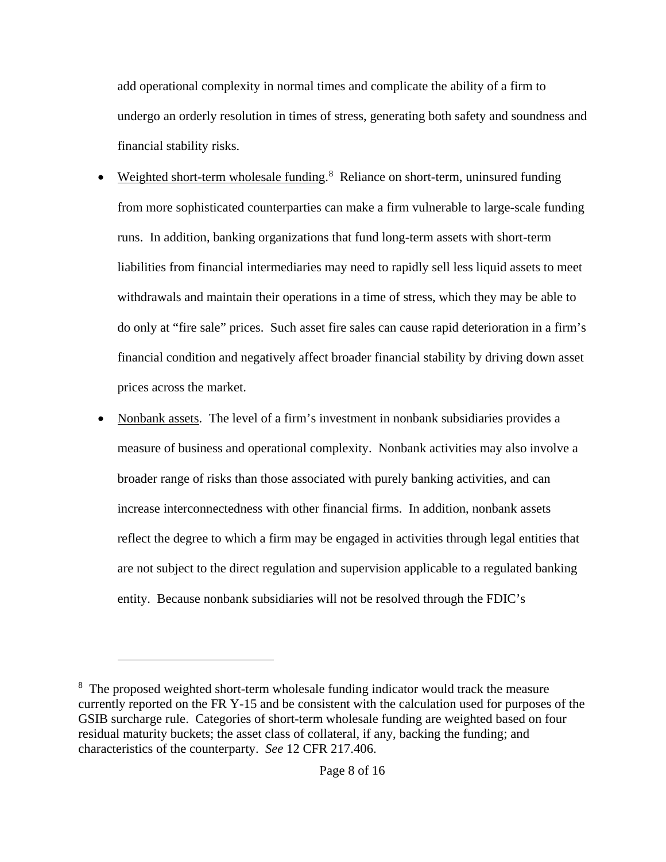add operational complexity in normal times and complicate the ability of a firm to undergo an orderly resolution in times of stress, generating both safety and soundness and financial stability risks.

- Weighted short-term wholesale funding.<sup>8</sup> Reliance on short-term, uninsured funding from more sophisticated counterparties can make a firm vulnerable to large-scale funding runs. In addition, banking organizations that fund long-term assets with short-term liabilities from financial intermediaries may need to rapidly sell less liquid assets to meet withdrawals and maintain their operations in a time of stress, which they may be able to do only at "fire sale" prices. Such asset fire sales can cause rapid deterioration in a firm's financial condition and negatively affect broader financial stability by driving down asset prices across the market.
- Nonbank assets. The level of a firm's investment in nonbank subsidiaries provides a measure of business and operational complexity. Nonbank activities may also involve a broader range of risks than those associated with purely banking activities, and can increase interconnectedness with other financial firms. In addition, nonbank assets reflect the degree to which a firm may be engaged in activities through legal entities that are not subject to the direct regulation and supervision applicable to a regulated banking entity. Because nonbank subsidiaries will not be resolved through the FDIC's

<sup>&</sup>lt;sup>8</sup> The proposed weighted short-term wholesale funding indicator would track the measure currently reported on the FR Y-15 and be consistent with the calculation used for purposes of the GSIB surcharge rule. Categories of short-term wholesale funding are weighted based on four residual maturity buckets; the asset class of collateral, if any, backing the funding; and characteristics of the counterparty. *See* 12 CFR 217.406.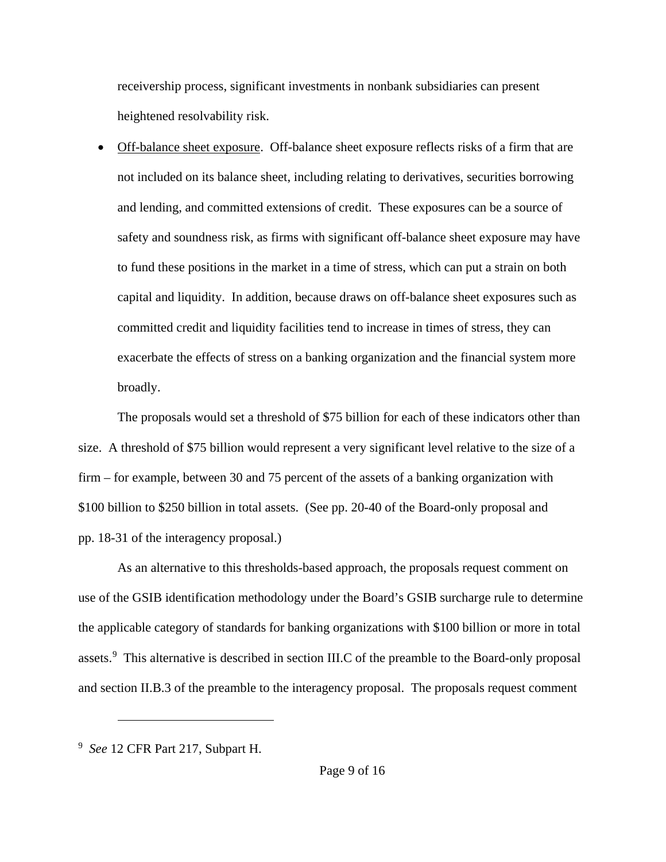receivership process, significant investments in nonbank subsidiaries can present heightened resolvability risk.

• Off-balance sheet exposure. Off-balance sheet exposure reflects risks of a firm that are not included on its balance sheet, including relating to derivatives, securities borrowing and lending, and committed extensions of credit. These exposures can be a source of safety and soundness risk, as firms with significant off-balance sheet exposure may have to fund these positions in the market in a time of stress, which can put a strain on both capital and liquidity. In addition, because draws on off-balance sheet exposures such as committed credit and liquidity facilities tend to increase in times of stress, they can exacerbate the effects of stress on a banking organization and the financial system more broadly.

The proposals would set a threshold of \$75 billion for each of these indicators other than size. A threshold of \$75 billion would represent a very significant level relative to the size of a firm – for example, between 30 and 75 percent of the assets of a banking organization with \$100 billion to \$250 billion in total assets. (See pp. 20-40 of the Board-only proposal and pp. 18-31 of the interagency proposal.)

As an alternative to this thresholds-based approach, the proposals request comment on use of the GSIB identification methodology under the Board's GSIB surcharge rule to determine the applicable category of standards for banking organizations with \$100 billion or more in total assets.<sup>9</sup> This alternative is described in section III.C of the preamble to the Board-only proposal and section II.B.3 of the preamble to the interagency proposal. The proposals request comment

<sup>9</sup> *See* 12 CFR Part 217, Subpart H.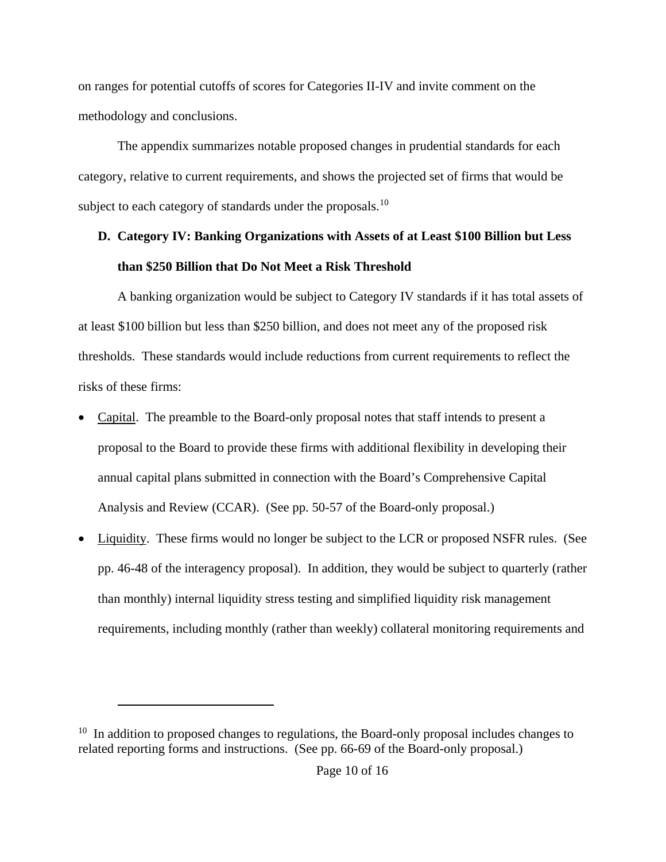on ranges for potential cutoffs of scores for Categories II-IV and invite comment on the methodology and conclusions.

The appendix summarizes notable proposed changes in prudential standards for each category, relative to current requirements, and shows the projected set of firms that would be subject to each category of standards under the proposals.<sup>10</sup>

## **D. Category IV: Banking Organizations with Assets of at Least \$100 Billion but Less than \$250 Billion that Do Not Meet a Risk Threshold**

A banking organization would be subject to Category IV standards if it has total assets of at least \$100 billion but less than \$250 billion, and does not meet any of the proposed risk thresholds. These standards would include reductions from current requirements to reflect the risks of these firms:

- Capital. The preamble to the Board-only proposal notes that staff intends to present a proposal to the Board to provide these firms with additional flexibility in developing their annual capital plans submitted in connection with the Board's Comprehensive Capital Analysis and Review (CCAR). (See pp. 50-57 of the Board-only proposal.)
- Liquidity. These firms would no longer be subject to the LCR or proposed NSFR rules. (See pp. 46-48 of the interagency proposal). In addition, they would be subject to quarterly (rather than monthly) internal liquidity stress testing and simplified liquidity risk management requirements, including monthly (rather than weekly) collateral monitoring requirements and

 $10$  In addition to proposed changes to regulations, the Board-only proposal includes changes to related reporting forms and instructions. (See pp. 66-69 of the Board-only proposal.)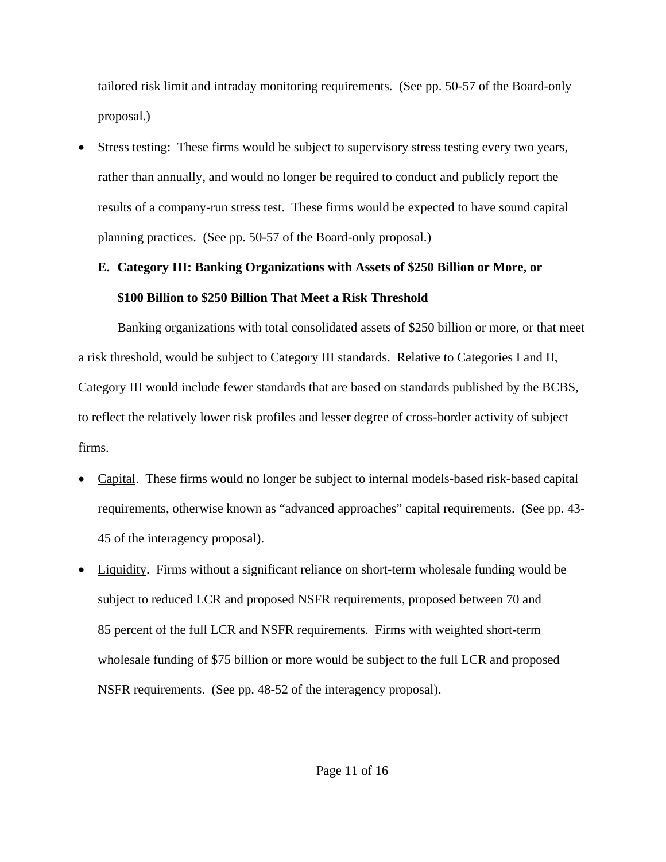tailored risk limit and intraday monitoring requirements. (See pp. 50-57 of the Board-only proposal.)

• Stress testing: These firms would be subject to supervisory stress testing every two years, rather than annually, and would no longer be required to conduct and publicly report the results of a company-run stress test. These firms would be expected to have sound capital planning practices. (See pp. 50-57 of the Board-only proposal.)

# **E. Category III: Banking Organizations with Assets of \$250 Billion or More, or \$100 Billion to \$250 Billion That Meet a Risk Threshold**

Banking organizations with total consolidated assets of \$250 billion or more, or that meet a risk threshold, would be subject to Category III standards. Relative to Categories I and II, Category III would include fewer standards that are based on standards published by the BCBS, to reflect the relatively lower risk profiles and lesser degree of cross-border activity of subject firms.

- Capital. These firms would no longer be subject to internal models-based risk-based capital requirements, otherwise known as "advanced approaches" capital requirements. (See pp. 43- 45 of the interagency proposal).
- Liquidity. Firms without a significant reliance on short-term wholesale funding would be subject to reduced LCR and proposed NSFR requirements, proposed between 70 and 85 percent of the full LCR and NSFR requirements. Firms with weighted short-term wholesale funding of \$75 billion or more would be subject to the full LCR and proposed NSFR requirements. (See pp. 48-52 of the interagency proposal).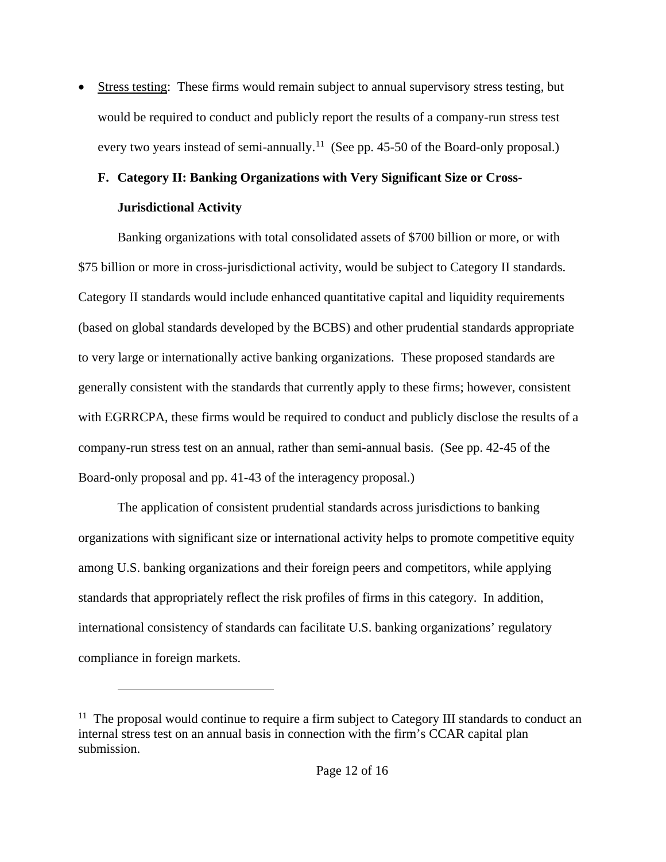Stress testing: These firms would remain subject to annual supervisory stress testing, but would be required to conduct and publicly report the results of a company-run stress test every two years instead of semi-annually.<sup>11</sup> (See pp. 45-50 of the Board-only proposal.)

## **F. Category II: Banking Organizations with Very Significant Size or Cross-Jurisdictional Activity**

Banking organizations with total consolidated assets of \$700 billion or more, or with \$75 billion or more in cross-jurisdictional activity, would be subject to Category II standards. Category II standards would include enhanced quantitative capital and liquidity requirements (based on global standards developed by the BCBS) and other prudential standards appropriate to very large or internationally active banking organizations. These proposed standards are generally consistent with the standards that currently apply to these firms; however, consistent with EGRRCPA, these firms would be required to conduct and publicly disclose the results of a company-run stress test on an annual, rather than semi-annual basis. (See pp. 42-45 of the Board-only proposal and pp. 41-43 of the interagency proposal.)

The application of consistent prudential standards across jurisdictions to banking organizations with significant size or international activity helps to promote competitive equity among U.S. banking organizations and their foreign peers and competitors, while applying standards that appropriately reflect the risk profiles of firms in this category. In addition, international consistency of standards can facilitate U.S. banking organizations' regulatory compliance in foreign markets.

 $11$  The proposal would continue to require a firm subject to Category III standards to conduct an internal stress test on an annual basis in connection with the firm's CCAR capital plan submission.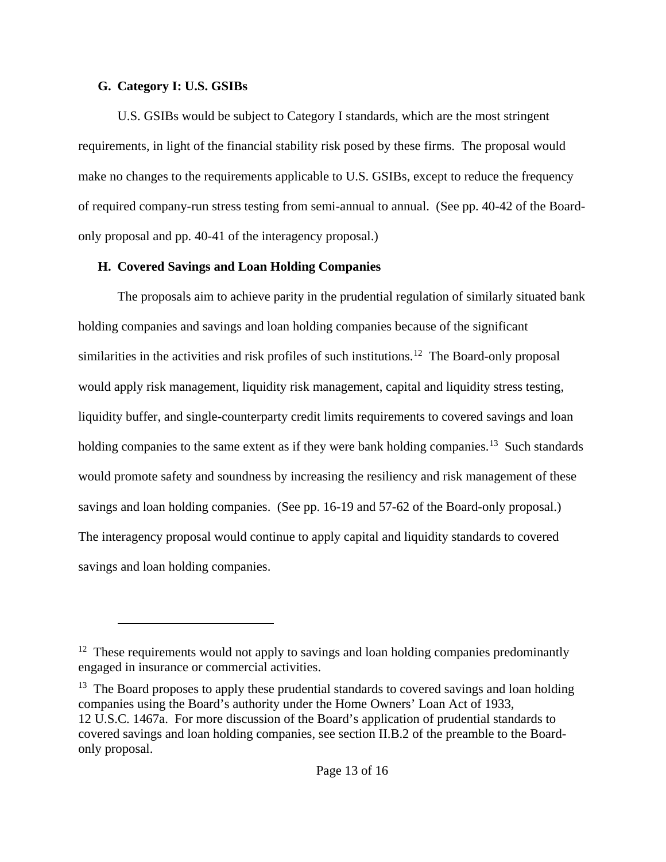#### **G. Category I: U.S. GSIBs**

 $\overline{a}$ 

U.S. GSIBs would be subject to Category I standards, which are the most stringent requirements, in light of the financial stability risk posed by these firms. The proposal would make no changes to the requirements applicable to U.S. GSIBs, except to reduce the frequency of required company-run stress testing from semi-annual to annual. (See pp. 40-42 of the Boardonly proposal and pp. 40-41 of the interagency proposal.)

## **H. Covered Savings and Loan Holding Companies**

The proposals aim to achieve parity in the prudential regulation of similarly situated bank holding companies and savings and loan holding companies because of the significant similarities in the activities and risk profiles of such institutions.<sup>12</sup> The Board-only proposal would apply risk management, liquidity risk management, capital and liquidity stress testing, liquidity buffer, and single-counterparty credit limits requirements to covered savings and loan holding companies to the same extent as if they were bank holding companies.<sup>13</sup> Such standards would promote safety and soundness by increasing the resiliency and risk management of these savings and loan holding companies. (See pp. 16-19 and 57-62 of the Board-only proposal.) The interagency proposal would continue to apply capital and liquidity standards to covered savings and loan holding companies.

<sup>&</sup>lt;sup>12</sup> These requirements would not apply to savings and loan holding companies predominantly engaged in insurance or commercial activities.

 $13$  The Board proposes to apply these prudential standards to covered savings and loan holding companies using the Board's authority under the Home Owners' Loan Act of 1933, 12 U.S.C. 1467a. For more discussion of the Board's application of prudential standards to covered savings and loan holding companies, see section II.B.2 of the preamble to the Boardonly proposal.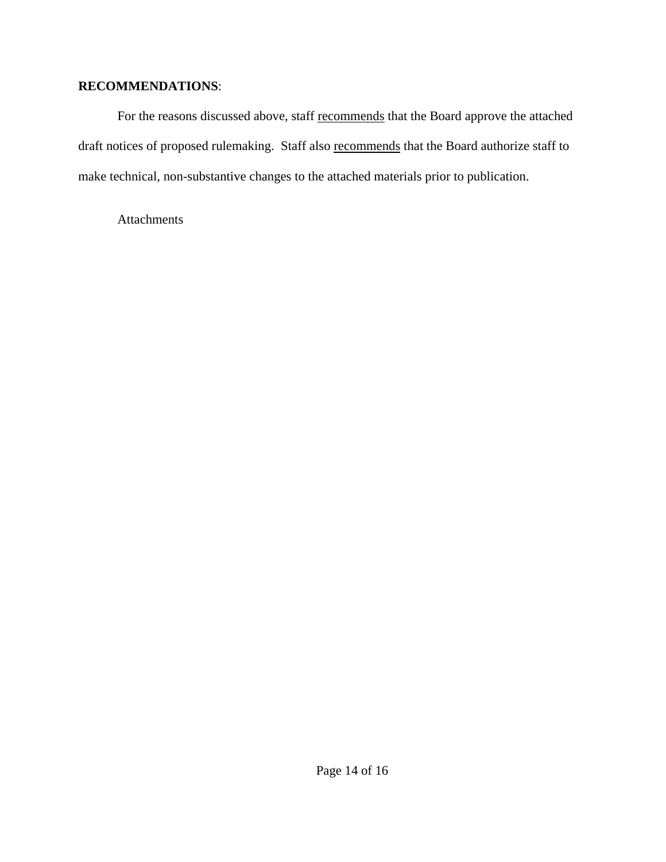## **RECOMMENDATIONS**:

For the reasons discussed above, staff recommends that the Board approve the attached draft notices of proposed rulemaking. Staff also recommends that the Board authorize staff to make technical, non-substantive changes to the attached materials prior to publication.

Attachments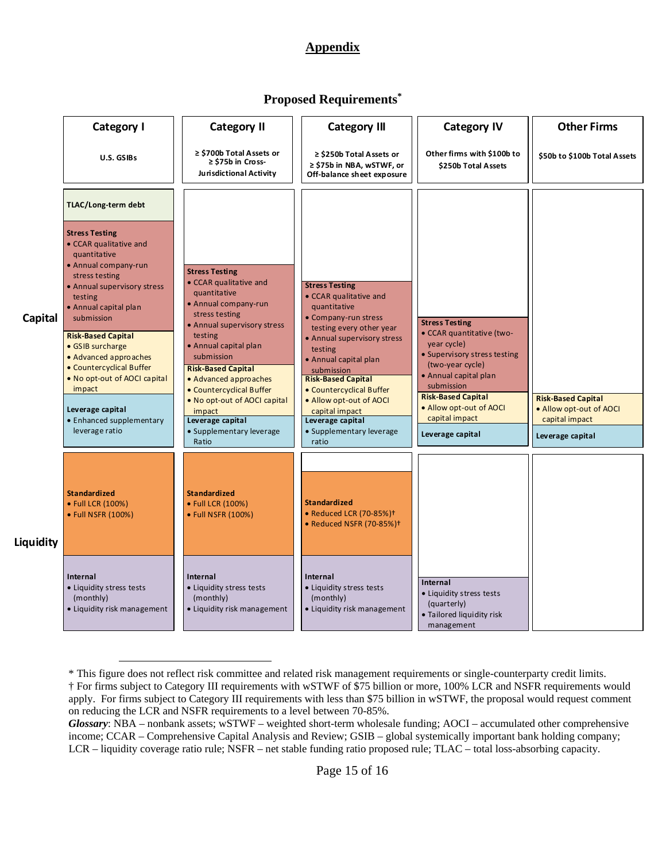## **Appendix**

### **Proposed Requirements\***

|           | Category I                                                                                                                                                                                                                                                                                                                                                                                                   | <b>Category II</b>                                                                                                                                                                                                                                                                                                                                                     | <b>Category III</b>                                                                                                                                                                                                                                                                                                                                        | <b>Category IV</b>                                                                                                                                                                                                                                         | <b>Other Firms</b>                                                     |
|-----------|--------------------------------------------------------------------------------------------------------------------------------------------------------------------------------------------------------------------------------------------------------------------------------------------------------------------------------------------------------------------------------------------------------------|------------------------------------------------------------------------------------------------------------------------------------------------------------------------------------------------------------------------------------------------------------------------------------------------------------------------------------------------------------------------|------------------------------------------------------------------------------------------------------------------------------------------------------------------------------------------------------------------------------------------------------------------------------------------------------------------------------------------------------------|------------------------------------------------------------------------------------------------------------------------------------------------------------------------------------------------------------------------------------------------------------|------------------------------------------------------------------------|
|           | U.S. GSIBs                                                                                                                                                                                                                                                                                                                                                                                                   | ≥ \$700b Total Assets or<br>$\ge$ \$75b in Cross-<br>Jurisdictional Activity                                                                                                                                                                                                                                                                                           | $\ge$ \$250b Total Assets or<br>$\ge$ \$75b in NBA, wSTWF, or<br>Off-balance sheet exposure                                                                                                                                                                                                                                                                | Other firms with \$100b to<br>\$250b Total Assets                                                                                                                                                                                                          | \$50b to \$100b Total Assets                                           |
|           | TLAC/Long-term debt                                                                                                                                                                                                                                                                                                                                                                                          |                                                                                                                                                                                                                                                                                                                                                                        |                                                                                                                                                                                                                                                                                                                                                            |                                                                                                                                                                                                                                                            |                                                                        |
| Capital   | <b>Stress Testing</b><br>• CCAR qualitative and<br>quantitative<br>• Annual company-run<br>stress testing<br>• Annual supervisory stress<br>testing<br>• Annual capital plan<br>submission<br><b>Risk-Based Capital</b><br>• GSIB surcharge<br>• Advanced approaches<br>• Countercyclical Buffer<br>• No opt-out of AOCI capital<br>impact<br>Leverage capital<br>• Enhanced supplementary<br>leverage ratio | <b>Stress Testing</b><br>• CCAR qualitative and<br>quantitative<br>• Annual company-run<br>stress testing<br>• Annual supervisory stress<br>testing<br>• Annual capital plan<br>submission<br><b>Risk-Based Capital</b><br>• Advanced approaches<br>• Countercyclical Buffer<br>• No opt-out of AOCI capital<br>impact<br>Leverage capital<br>• Supplementary leverage | <b>Stress Testing</b><br>• CCAR qualitative and<br>quantitative<br>• Company-run stress<br>testing every other year<br>• Annual supervisory stress<br>testing<br>• Annual capital plan<br>submission<br><b>Risk-Based Capital</b><br>• Countercyclical Buffer<br>• Allow opt-out of AOCI<br>capital impact<br>Leverage capital<br>• Supplementary leverage | <b>Stress Testing</b><br>• CCAR quantitative (two-<br>year cycle)<br>• Supervisory stress testing<br>(two-year cycle)<br>• Annual capital plan<br>submission<br><b>Risk-Based Capital</b><br>• Allow opt-out of AOCI<br>capital impact<br>Leverage capital | <b>Risk-Based Capital</b><br>• Allow opt-out of AOCI<br>capital impact |
|           |                                                                                                                                                                                                                                                                                                                                                                                                              | Ratio                                                                                                                                                                                                                                                                                                                                                                  | ratio                                                                                                                                                                                                                                                                                                                                                      |                                                                                                                                                                                                                                                            | Leverage capital                                                       |
| Liquidity | <b>Standardized</b><br>• Full LCR (100%)<br>• Full NSFR (100%)                                                                                                                                                                                                                                                                                                                                               | <b>Standardized</b><br>• Full LCR (100%)<br>• Full NSFR (100%)                                                                                                                                                                                                                                                                                                         | <b>Standardized</b><br>• Reduced LCR (70-85%)+<br>• Reduced NSFR (70-85%) <sup>+</sup>                                                                                                                                                                                                                                                                     |                                                                                                                                                                                                                                                            |                                                                        |
|           | <b>Internal</b><br>• Liquidity stress tests<br>(monthly)<br>• Liquidity risk management                                                                                                                                                                                                                                                                                                                      | Internal<br>• Liquidity stress tests<br>(monthly)<br>• Liquidity risk management                                                                                                                                                                                                                                                                                       | Internal<br>· Liquidity stress tests<br>(monthly)<br>• Liquidity risk management                                                                                                                                                                                                                                                                           | Internal<br>• Liquidity stress tests<br>(quarterly)<br>• Tailored liquidity risk<br>management                                                                                                                                                             |                                                                        |

<sup>\*</sup> This figure does not reflect risk committee and related risk management requirements or single-counterparty credit limits. † For firms subject to Category III requirements with wSTWF of \$75 billion or more, 100% LCR and NSFR requirements would apply. For firms subject to Category III requirements with less than \$75 billion in wSTWF, the proposal would request comment on reducing the LCR and NSFR requirements to a level between 70-85%.

*Glossary*: NBA – nonbank assets; wSTWF – weighted short-term wholesale funding; AOCI – accumulated other comprehensive income; CCAR – Comprehensive Capital Analysis and Review; GSIB – global systemically important bank holding company; LCR – liquidity coverage ratio rule; NSFR – net stable funding ratio proposed rule; TLAC – total loss-absorbing capacity.